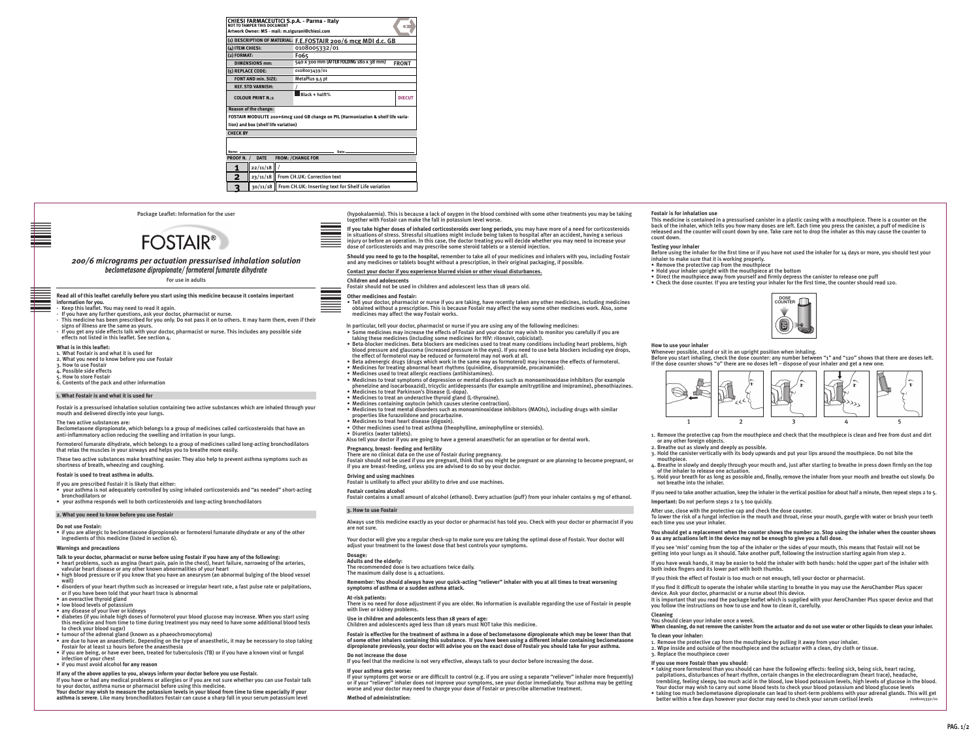**BAR - CODE ZONE**

**BAR - CODE ZONE**





2 mm 10 mm

2 mm 10 mm

# center of bar  $\overline{\ }$ *200/6 micrograms per actuation pressurised inhalation solution beclometasone dipropionate/ formoterol fumarate dihydrate*

For use in adults

Package Leaflet: Information for the user



**Read all of this leaflet carefully before you start using this medicine because it contains important information for you.**

- Keep this leaflet. You may need to read it again.
- $\cdot$  If you have any further questions, ask your doctor, pharmacist or nurse.
- This medicine has been prescribed for you only. Do not pass it on to others. It may harm them, even if their signs of illness are the same as yours.
- If you get any side effects talk with your doctor, pharmacist or nurse. This includes any possible side effects not listed in this leaflet. See section 4.

### **What is in this leaflet:**

- 1. What Fostair is and what it is used for
- 2. What you need to know before you use Fostair
- 3. How to use Fostair
- 4. Possible side effects
- 5. How to store Fostair
- 6. Contents of the pack and other information

### **1. What Fostair is and what it is used for**

Fostair is a pressurised inhalation solution containing two active substances which are inhaled through your mouth and delivered directly into your lungs.

## The two active substances are:

Beclometasone dipropionate, which belongs to a group of medicines called corticosteroids that have an anti-inflammatory action reducing the swelling and irritation in your lungs.

Formoterol fumarate dihydrate, which belongs to a group of medicines called long-acting bronchodilators that relax the muscles in your airways and helps you to breathe more easily.

Taxings seamed the contained in a pressurised canis to the season to the season that the fall in potassium level worse.<br>This medicine is contained in a pressurised canisment of the inhaler, which tells you how many dose (hypokalaemia). This is because a lack of oxygen in the blood combined with some other treatments you may be taking

These two active substances make breathing easier. They also help to prevent asthma symptoms such as shortness of breath, wheezing and coughing.

### **Fostair is used to treat asthma in adults.**

If you are prescribed Fostair it is likely that either:

- your asthma is not adequately controlled by using inhaled corticosteroids and "as needed" short-acting bronchodilators or
- your asthma responds well to both corticosteroids and long-acting bronchodilators

## **2. What you need to know before you use Fostair**

#### **Do not use Fostair:**

• if you are allergic to beclometasone dipropionate or formoterol fumarate dihydrate or any of the other ingredients of this medicine (listed in section 6).

## **Warnings and precautions**

**Talk to your doctor, pharmacist or nurse before using Fostair if you have any of the following:**

- heart problems, such as angina (heart pain, pain in the chest), heart failure, narrowing of the arteries, valvular heart disease or any other known abnormalities of your heart
- high blood pressure or if you know that you have an aneurysm (an abnormal bulging of the blood vessel wall)
- disorders of your heart rhythm such as increased or irregular heart rate, a fast pulse rate or palpitations, or if you have been told that your heart trace is abnormal
- an overactive thyroid gland
- low blood levels of potassium
- any disease of your liver or kidneys
- diabetes (if you inhale high doses of formoterol your blood glucose may increase. When you start using this medicine and from time to time during treatment you may need to have some additional blood tests to check your blood sugar)
- tumour of the adrenal gland (known as a phaeochromocytoma)
- are due to have an anaesthetic. Depending on the type of anaesthetic, it may be necessary to stop taking Fostair for at least 12 hours before the anaesthesia
- if you are being, or have ever been, treated for tuberculosis (TB) or if you have a known viral or fungal infection of your chest
- if you must avoid alcohol **for any reason**

The recommended dose is two actuations twice daily. The maximum daily dose is 4 actuations.

**If any of the above applies to you, always inform your doctor before you use Fostair.** 

If you have or had any medical problems or allergies or if you are not sure whether you can use Fostair talk to your doctor, asthma nurse or pharmacist before using this medicine.

**Your doctor may wish to measure the potassium levels in your blood from time to time especially if your asthma is severe**. Like many bronchodilators Fostair can cause a sharp fall in your serum potassium level

**If you take higher doses of inhaled corticosteroids over long periods**, you may have more of a need for corticosteroids in situations of stress. Stressful situations might include being taken to hospital after an accident, having a serious injury or before an operation. In this case, the doctor treating you will decide whether you may need to increase your dose of corticosteroids and may prescribe some steroid tablets or a steroid injection.

**Should you need to go to the hospital**, remember to take all of your medicines and inhalers with you, including Fostair and any medicines or tablets bought without a prescription, in their original packaging, if possible.

**Contact your doctor if you experience blurred vision or other visual disturbances.**

### **Children and adolescents**

Fostair should not be used in children and adolescent less than 18 years old.

## **Other medicines and Fostair:**

• Tell your doctor, pharmacist or nurse if you are taking, have recently taken any other medicines, including medicines obtained without a prescription. This is because Fostair may affect the way some other medicines work. Also, some medicines may affect the way Fostair works.

In particular, tell your doctor, pharmacist or nurse if you are using any of the following medicines:

- Some medicines may increase the effects of Fostair and your doctor may wish to monitor you carefully if you are taking these medicines (including some medicines for HIV: ritonavir, cobicistat).
- 1. What Fostair is and what it is used for the stand of the stand of the experiment increased pressure in the eyes). If you heed to use beta blockers including eye drops, whenever possible, stand or sit in an upright posit • Beta-blocker medicines. Beta blockers are medicines used to treat many conditions including heart problems, high blood pressure and glaucoma (increased pressure in the eyes). If you need to use beta blockers including eye drops, the effect of formoterol may be reduced or formoterol may not work at all.
	- Beta adrenergic drugs (drugs which work in the same way as formoterol) may increase the effects of formoterol.
	- Medicines for treating abnormal heart rhythms (quinidine, disopyramide, procainamide).
	- Medicines used to treat allergic reactions (antihistamines).
	- Medicines to treat symptoms of depression or mental disorders such as monoaminoxidase inhibitors (for example phenelzine and isocarboxazid), tricyclic antidepressants (for example amitryptiline and imipramine), phenothiazines. • Medicines to treat Parkinson's Disease (L-dopa).
	- Medicines to treat an underactive thyroid gland (L-thyroxine).
	- Medicines containing oxytocin (which causes uterine contraction).
	- Medicines to treat mental disorders such as monoaminoxidase inhibitors (MAOIs), including drugs with similar properties like furazolidone and procarbazine.
	- Medicines to treat heart disease (digoxin).
	- Other medicines used to treat asthma (theophylline, aminophylline or steroids).
	- Diuretics (water tablets).

Also tell your doctor if you are going to have a general anaesthetic for an operation or for dental work.

### **Pregnancy, breast- feeding and fertility**

There are no clinical data on the use of Fostair during pregnancy. Fostair should not be used if you are pregnant, think that you might be pregnant or are planning to become pregnant, or if you are breast-feeding, unless you are advised to do so by your doctor.

### **Driving and using machines**

Fostair is unlikely to affect your ability to drive and use machines.

**Fostair contains alcohol**

Fostair contains a small amount of alcohol (ethanol). Every actuation (puff) from your inhaler contains 9 mg of ethanol.

## **3. How to use Fostair**

Always use this medicine exactly as your doctor or pharmacist has told you. Check with your doctor or pharmacist if you are not sure.

Your doctor will give you a regular check-up to make sure you are taking the optimal dose of Fostair. Your doctor will adjust your treatment to the lowest dose that best controls your symptoms.

### **Dosage:**

**Adults and the elderly:**

**Remember: You should always have your quick-acting "reliever" inhaler with you at all times to treat worsening symptoms of asthma or a sudden asthma attack.** 

## **At-risk patients:**

There is no need for dose adjustment if you are older. No information is available regarding the use of Fostair in people with liver or kidney problems.

**Use in children and adolescents less than 18 years of age:**

Children and adolescents aged less than 18 years must NOT take this medicine.

**Fostair is effective for the treatment of asthma in a dose of beclometasone dipropionate which may be lower than that of some other inhalers containing this substance. If you have been using a different inhaler containing beclometasone dipropionate previously, your doctor will advise you on the exact dose of Fostair you should take for your asthma.** 

**Do not increase the dose** If you feel that the medicine is not very effective, always talk to your doctor before increasing the dose.

### **If your asthma gets worse:**

If your symptoms get worse or are difficult to control (e.g. if you are using a separate "reliever" inhaler more frequently) or if your "reliever" inhaler does not improve your symptoms, see your doctor immediately. Your asthma may be getting worse and your doctor may need to change your dose of Fostair or prescribe alternative treatment.

**Method of administration:**

# **Fostair is for inhalation use**

This medicine is contained in a pressurised canister in a plastic casing with a mouthpiece. There is a counter on the back of the inhaler, which tells you how many doses are left. Each time you press the canister, a puff of medicine is released and the counter will count down by one. Take care not to drop the inhaler as this may cause the counter to count down.

# **Testing your inhaler**

Before using the inhaler for the first time or if you have not used the inhaler for 14 days or more, you should test your inhaler to make sure that it is working properly.

- Remove the protective cap from the mouthpiece
- Hold your inhaler upright with the mouthpiece at the bottom
- Direct the mouthpiece away from yourself and firmly depress the canister to release one puff
- Check the dose counter. If you are testing your inhaler for the first time, the counter should read 120.

# **How to use your inhaler**

Before you start inhaling, check the dose counter: any number between "1" and "120" shows that there are doses left. If the dose counter shows "0" there are no doses left – dispose of your inhaler and get a new one.

- 1. Remove the protective cap from the mouthpiece and check that the mouthpiece is clean and free from dust and dirt or any other foreign objects.
- 2. Breathe out as slowly and deeply as possible.
- 3. Hold the canister vertically with its body upwards and put your lips around the mouthpiece. Do not bite the mouthpiece.
- 4. Breathe in slowly and deeply through your mouth and, just after starting to breathe in press down firmly on the top of the inhaler to release one actuation.
- 5. Hold your breath for as long as possible and, finally, remove the inhaler from your mouth and breathe out slowly. Do not breathe into the inhaler.

If you need to take another actuation, keep the inhaler in the vertical position for about half a minute, then repeat steps 2 to 5.

**Important:** Do not perform steps 2 to 5 too quickly.

After use, close with the protective cap and check the dose counter. To lower the risk of a fungal infection in the mouth and throat, rinse your mouth, gargle with water or brush your teeth each time you use your inhaler.

**You should get a replacement when the counter shows the number 20. Stop using the inhaler when the counter shows 0 as any actuations left in the device may not be enough to give you a full dose.**

If you see 'mist' coming from the top of the inhaler or the sides of your mouth, this means that Fostair will not be getting into your lungs as it should. Take another puff, following the instruction starting again from step 2.

If you have weak hands, it may be easier to hold the inhaler with both hands: hold the upper part of the inhaler with both index fingers and its lower part with both thumbs.

If you think the effect of Fostair is too much or not enough, tell your doctor or pharmacist.

If you find it difficult to operate the inhaler while starting to breathe in you may use the AeroChamber Plus spacer device. Ask your doctor, pharmacist or a nurse about this device.

It is important that you read the package leaflet which is supplied with your AeroChamber Plus spacer device and that you follow the instructions on how to use and how to clean it, carefully.

# **Cleaning**

You should clean your inhaler once a week. **When cleaning, do not remove the canister from the actuator and do not use water or other liquids to clean your inhaler.**

**To clean your inhaler:**

- 1. Remove the protective cap from the mouthpiece by pulling it away from your inhaler.
- 2. Wipe inside and outside of the mouthpiece and the actuator with a clean, dry cloth or tissue.

3. Replace the mouthpiece cover **If you use more Fostair than you should:**

- taking more formoterol than you should can have the following effects: feeling sick, being sick, heart racing, palpitations, disturbances of heart rhythm, certain changes in the electrocardiogram (heart trace), headache, trembling, feeling sleepy, too much acid in the blood, low blood potassium levels, high levels of glucose in the blood. Your doctor may wish to carry out some blood tests to check your blood potassium and blood glucose levels
- 0108005332/01 • taking too much beclometasone dipropionate can lead to short-term problems with your adrenal glands. This will get better within a few days however your doctor may need to check your serum cortisol levels